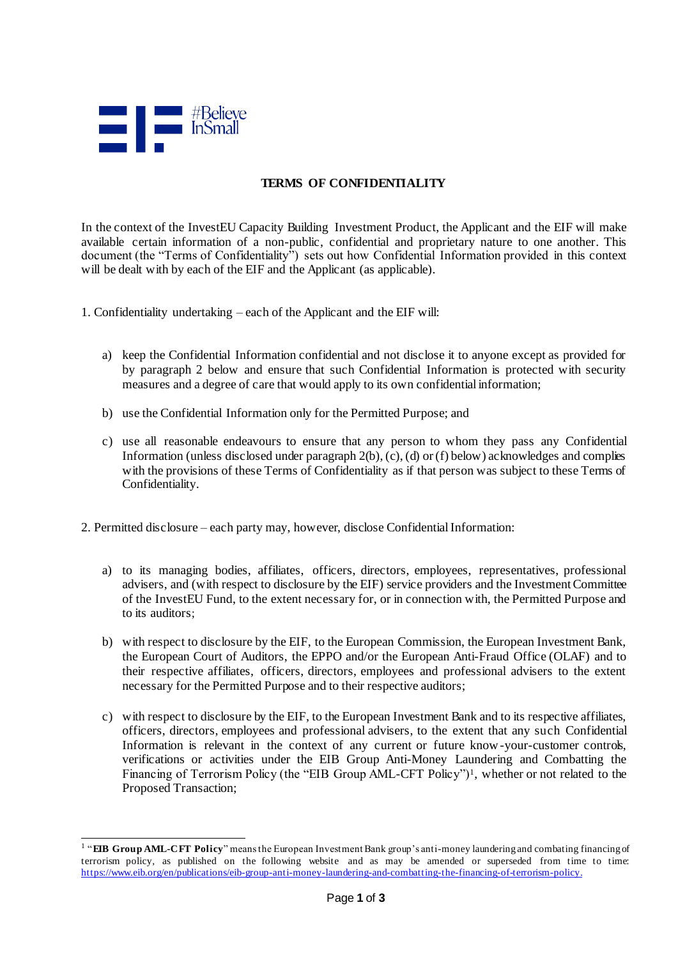

1

## **TERMS OF CONFIDENTIALITY**

In the context of the InvestEU Capacity Building Investment Product, the Applicant and the EIF will make available certain information of a non-public, confidential and proprietary nature to one another. This document (the "Terms of Confidentiality") sets out how Confidential Information provided in this context will be dealt with by each of the EIF and the Applicant (as applicable).

- 1. Confidentiality undertaking each of the Applicant and the EIF will:
	- a) keep the Confidential Information confidential and not disclose it to anyone except as provided for by paragraph 2 below and ensure that such Confidential Information is protected with security measures and a degree of care that would apply to its own confidential information;
	- b) use the Confidential Information only for the Permitted Purpose; and
	- c) use all reasonable endeavours to ensure that any person to whom they pass any Confidential Information (unless disclosed under paragraph  $2(b)$ , (c), (d) or (f) below) acknowledges and complies with the provisions of these Terms of Confidentiality as if that person was subject to these Terms of Confidentiality.
- 2. Permitted disclosure each party may, however, disclose Confidential Information:
	- a) to its managing bodies, affiliates, officers, directors, employees, representatives, professional advisers, and (with respect to disclosure by the EIF) service providers and the Investment Committee of the InvestEU Fund, to the extent necessary for, or in connection with, the Permitted Purpose and to its auditors;
	- b) with respect to disclosure by the EIF, to the European Commission, the European Investment Bank, the European Court of Auditors, the EPPO and/or the European Anti-Fraud Office (OLAF) and to their respective affiliates, officers, directors, employees and professional advisers to the extent necessary for the Permitted Purpose and to their respective auditors;
	- c) with respect to disclosure by the EIF, to the European Investment Bank and to its respective affiliates, officers, directors, employees and professional advisers, to the extent that any such Confidential Information is relevant in the context of any current or future know-your-customer controls, verifications or activities under the EIB Group Anti-Money Laundering and Combatting the Financing of Terrorism Policy (the "EIB Group AML-CFT Policy")<sup>1</sup>, whether or not related to the Proposed Transaction;

<sup>&</sup>lt;sup>1</sup> "EIB Group AML-CFT Policy" means the European Investment Bank group's anti-money laundering and combating financing of terrorism policy, as published on the following website and as may be amended or superseded from time to time: <https://www.eib.org/en/publications/eib-group-anti-money-laundering-and-combatting-the-financing-of-terrorism-policy>.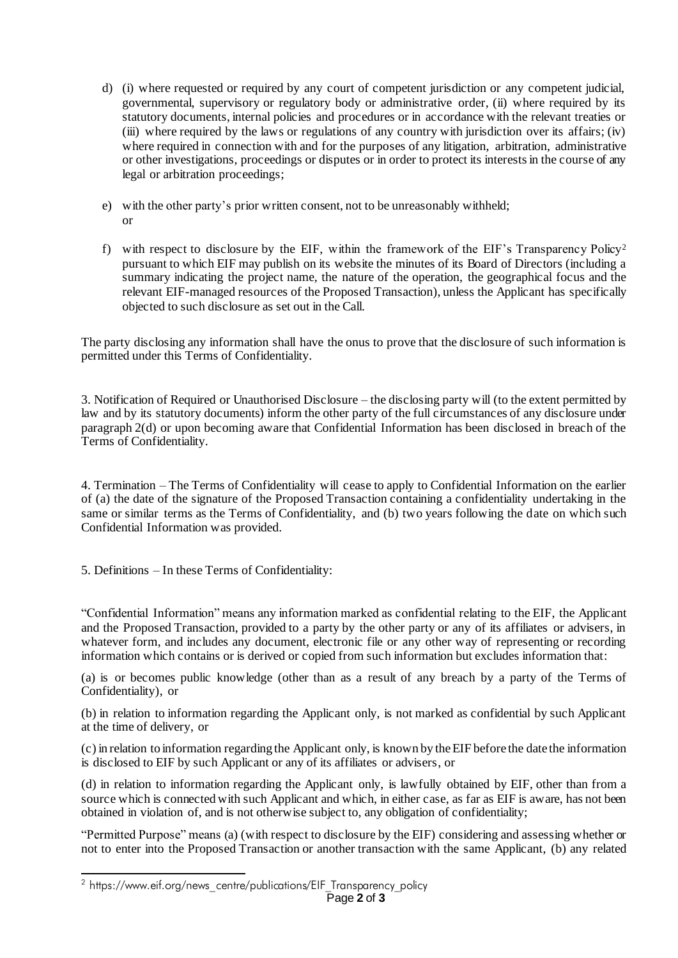- d) (i) where requested or required by any court of competent jurisdiction or any competent judicial, governmental, supervisory or regulatory body or administrative order, (ii) where required by its statutory documents, internal policies and procedures or in accordance with the relevant treaties or (iii) where required by the laws or regulations of any country with jurisdiction over its affairs; (iv) where required in connection with and for the purposes of any litigation, arbitration, administrative or other investigations, proceedings or disputes or in order to protect its interests in the course of any legal or arbitration proceedings;
- e) with the other party's prior written consent, not to be unreasonably withheld; or
- f) with respect to disclosure by the EIF, within the framework of the EIF's Transparency Policy<sup>2</sup> pursuant to which EIF may publish on its website the minutes of its Board of Directors (including a summary indicating the project name, the nature of the operation, the geographical focus and the relevant EIF-managed resources of the Proposed Transaction), unless the Applicant has specifically objected to such disclosure as set out in the Call.

The party disclosing any information shall have the onus to prove that the disclosure of such information is permitted under this Terms of Confidentiality.

3. Notification of Required or Unauthorised Disclosure – the disclosing party will (to the extent permitted by law and by its statutory documents) inform the other party of the full circumstances of any disclosure under paragraph 2(d) or upon becoming aware that Confidential Information has been disclosed in breach of the Terms of Confidentiality.

4. Termination – The Terms of Confidentiality will cease to apply to Confidential Information on the earlier of (a) the date of the signature of the Proposed Transaction containing a confidentiality undertaking in the same or similar terms as the Terms of Confidentiality, and (b) two years following the date on which such Confidential Information was provided.

5. Definitions – In these Terms of Confidentiality:

"Confidential Information" means any information marked as confidential relating to the EIF, the Applicant and the Proposed Transaction, provided to a party by the other party or any of its affiliates or advisers, in whatever form, and includes any document, electronic file or any other way of representing or recording information which contains or is derived or copied from such information but excludes information that:

(a) is or becomes public knowledge (other than as a result of any breach by a party of the Terms of Confidentiality), or

(b) in relation to information regarding the Applicant only, is not marked as confidential by such Applicant at the time of delivery, or

(c) in relation to information regarding the Applicant only, is known by the EIF before the date the information is disclosed to EIF by such Applicant or any of its affiliates or advisers, or

(d) in relation to information regarding the Applicant only, is lawfully obtained by EIF, other than from a source which is connected with such Applicant and which, in either case, as far as EIF is aware, has not been obtained in violation of, and is not otherwise subject to, any obligation of confidentiality;

"Permitted Purpose" means (a) (with respect to disclosure by the EIF) considering and assessing whether or not to enter into the Proposed Transaction or another transaction with the same Applicant, (b) any related

-

 $^2$  https://www.eif.org/news\_centre/publications/EIF\_Transparency\_policy